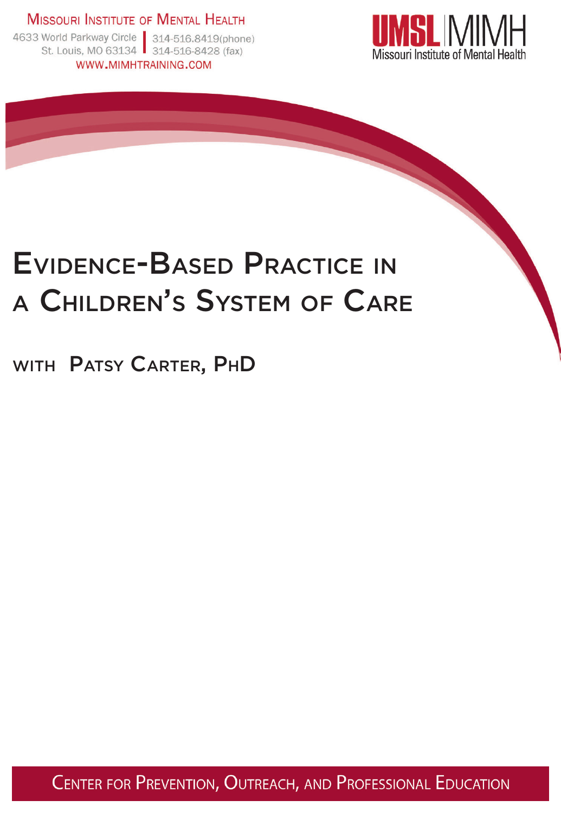**MISSOURI INSTITUTE OF MENTAL HEALTH** 



### Evidence-Based Practice in <sup>a</sup> Children's System of Care

WITH PATSY CARTER, PHD

CENTER FOR PREVENTION, OUTREACH, AND PROFESSIONAL EDUCATION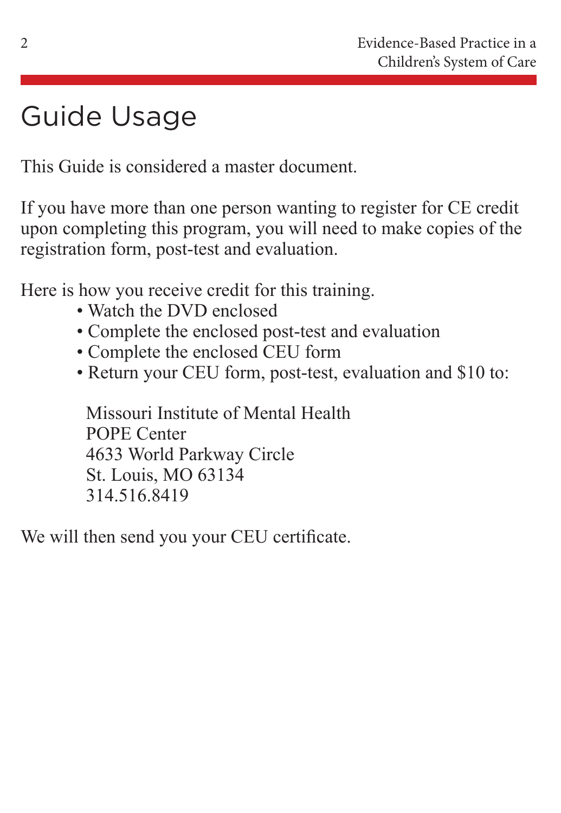# Guide Usage

This Guide is considered a master document.

If you have more than one person wanting to register for CE credit upon completing this program, you will need to make copies of the registration form, post-test and evaluation.

Here is how you receive credit for this training.

- Watch the DVD enclosed
- Complete the enclosed post-test and evaluation
- Complete the enclosed CEU form
- Return your CEU form, post-test, evaluation and \$10 to:

 Missouri Institute of Mental Health POPE Center 4633 World Parkway Circle St. Louis, MO 63134 314.516.8419

We will then send you your CEU certificate.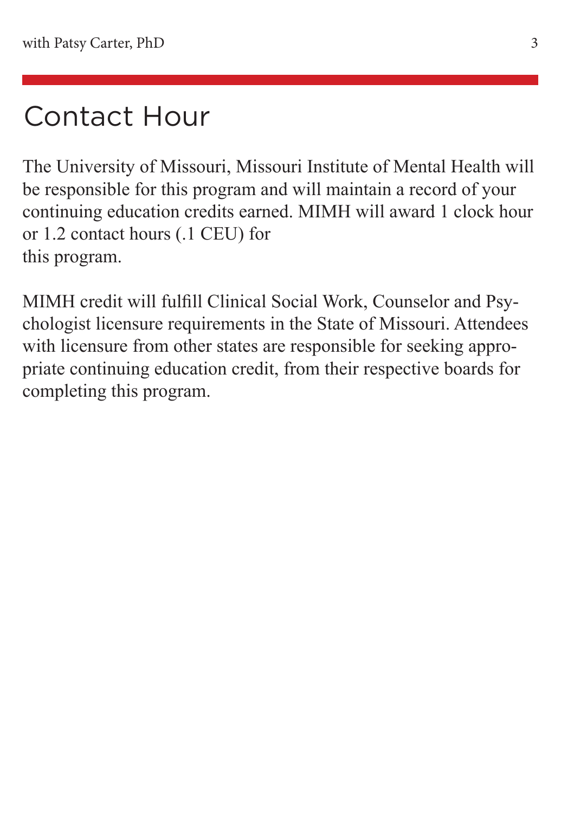### Contact Hour

The University of Missouri, Missouri Institute of Mental Health will be responsible for this program and will maintain a record of your continuing education credits earned. MIMH will award 1 clock hour or 1.2 contact hours (.1 CEU) for this program.

MIMH credit will fulfill Clinical Social Work, Counselor and Psychologist licensure requirements in the State of Missouri. Attendees with licensure from other states are responsible for seeking appropriate continuing education credit, from their respective boards for completing this program.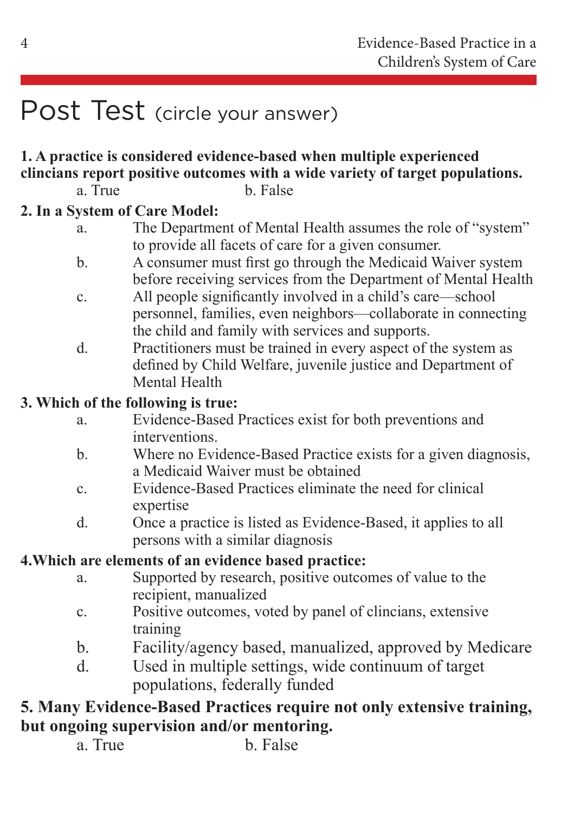### Post Test (circle your answer)

#### **1. A practice is considered evidence-based when multiple experienced clincians report positive outcomes with a wide variety of target populations.**

a. True b. False

#### **2. In a System of Care Model:**

- a. The Department of Mental Health assumes the role of "system" to provide all facets of care for a given consumer.
- b. A consumer must first go through the Medicaid Waiver system before receiving services from the Department of Mental Health
- c. All people significantly involved in a child's care—school personnel, families, even neighbors—collaborate in connecting the child and family with services and supports.
- d. Practitioners must be trained in every aspect of the system as defined by Child Welfare, juvenile justice and Department of Mental Health

#### **3. Which of the following is true:**

- a. Evidence-Based Practices exist for both preventions and interventions.
- b. Where no Evidence-Based Practice exists for a given diagnosis, a Medicaid Waiver must be obtained
- c. Evidence-Based Practices eliminate the need for clinical expertise
- d. Once a practice is listed as Evidence-Based, it applies to all persons with a similar diagnosis

#### **4.Which are elements of an evidence based practice:**

- a. Supported by research, positive outcomes of value to the recipient, manualized
- c. Positive outcomes, voted by panel of clincians, extensive training
- b. Facility/agency based, manualized, approved by Medicare
- d. Used in multiple settings, wide continuum of target populations, federally funded

#### **5. Many Evidence-Based Practices require not only extensive training, but ongoing supervision and/or mentoring.**

a. True b. False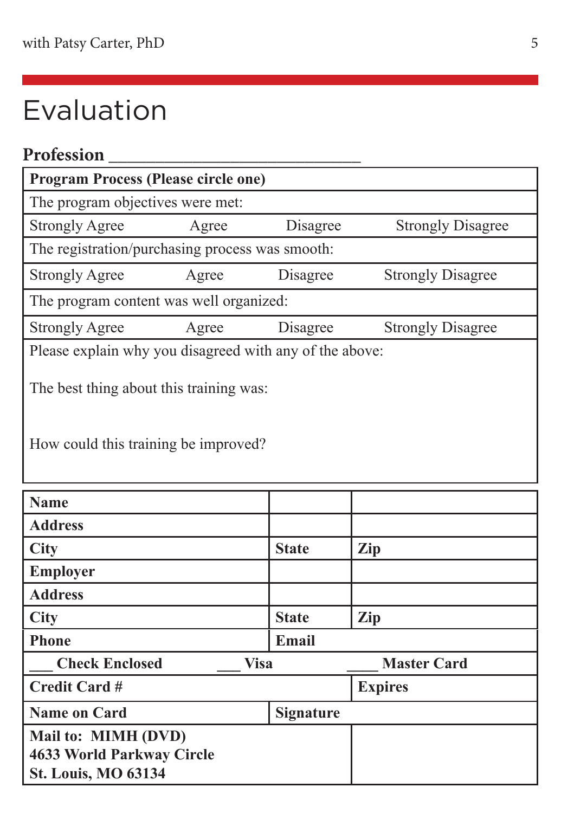# Evaluation

| Profession                                                                      |       |              |                          |  |  |
|---------------------------------------------------------------------------------|-------|--------------|--------------------------|--|--|
| <b>Program Process (Please circle one)</b>                                      |       |              |                          |  |  |
| The program objectives were met:                                                |       |              |                          |  |  |
| <b>Strongly Agree</b>                                                           | Agree | Disagree     | <b>Strongly Disagree</b> |  |  |
| The registration/purchasing process was smooth:                                 |       |              |                          |  |  |
| <b>Strongly Agree</b>                                                           | Agree | Disagree     | <b>Strongly Disagree</b> |  |  |
| The program content was well organized:                                         |       |              |                          |  |  |
| <b>Strongly Agree</b>                                                           | Agree | Disagree     | <b>Strongly Disagree</b> |  |  |
| Please explain why you disagreed with any of the above:                         |       |              |                          |  |  |
| The best thing about this training was:<br>How could this training be improved? |       |              |                          |  |  |
| <b>Name</b>                                                                     |       |              |                          |  |  |
| <b>Address</b>                                                                  |       |              |                          |  |  |
| <b>City</b>                                                                     |       | <b>State</b> | Zip                      |  |  |
| <b>Employer</b>                                                                 |       |              |                          |  |  |
| <b>Address</b>                                                                  |       |              |                          |  |  |

| 71441 CO                      |  |                  |                    |
|-------------------------------|--|------------------|--------------------|
| <b>City</b>                   |  | <b>State</b>     | Zip                |
| <b>Phone</b>                  |  | Email            |                    |
| <b>Check Enclosed</b><br>Visa |  |                  | <b>Master Card</b> |
| Credit Card #                 |  |                  | <b>Expires</b>     |
| <b>Name on Card</b>           |  | <b>Signature</b> |                    |
| Mail to: MIMH (DVD)           |  |                  |                    |
| 4633 World Parkway Circle     |  |                  |                    |
| <b>St. Louis, MO 63134</b>    |  |                  |                    |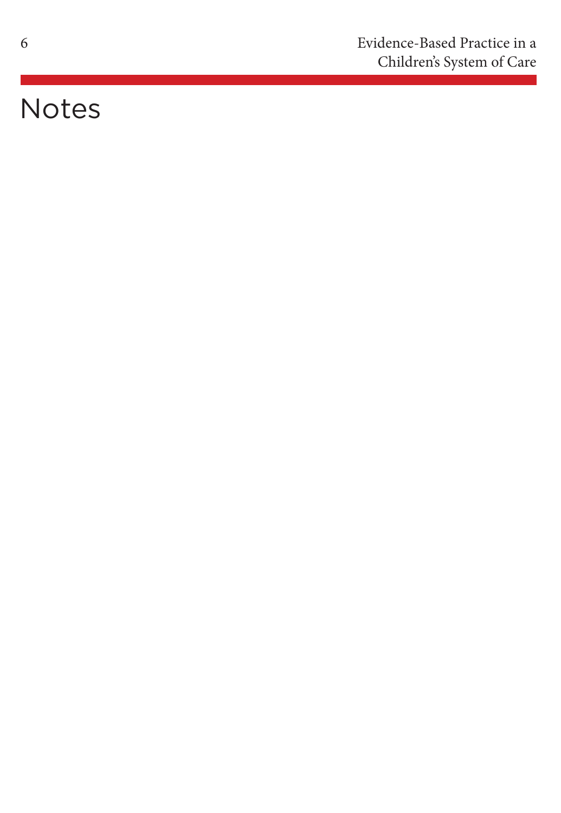# Notes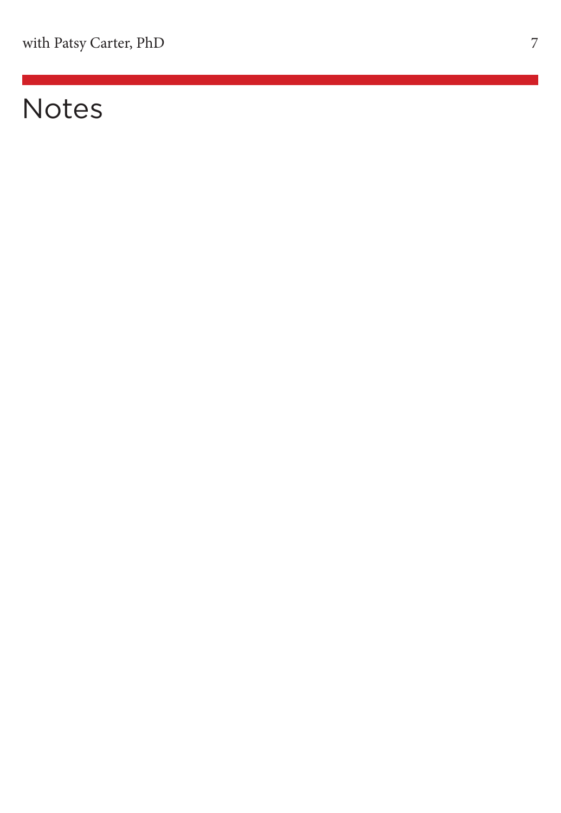# Notes